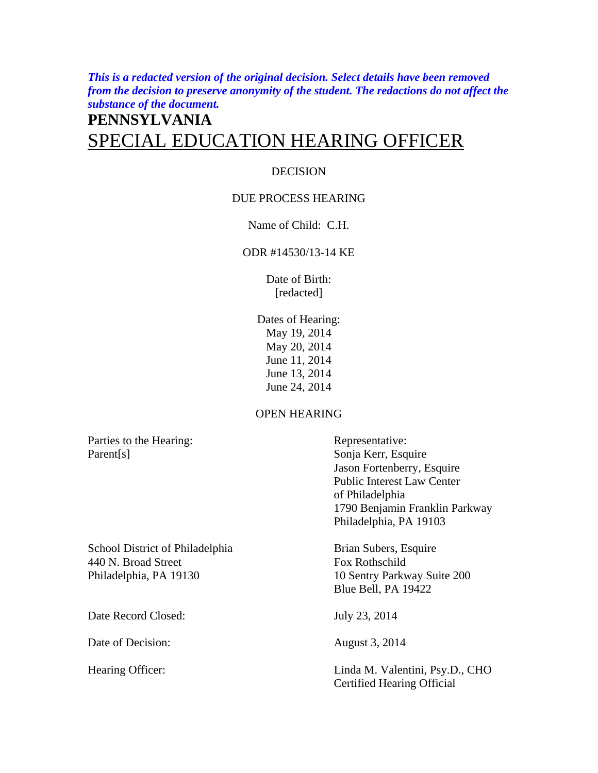*This is a redacted version of the original decision. Select details have been removed from the decision to preserve anonymity of the student. The redactions do not affect the substance of the document.* 

# **PENNSYLVANIA**  SPECIAL EDUCATION HEARING OFFICER

## DECISION

## DUE PROCESS HEARING

## Name of Child: C.H.

## ODR #14530/13-14 KE

Date of Birth: [redacted]

Dates of Hearing: May 19, 2014 May 20, 2014 June 11, 2014 June 13, 2014 June 24, 2014

## OPEN HEARING

Parties to the Hearing: Representative: Parent[s] Sonja Kerr, Esquire

 Jason Fortenberry, Esquire Public Interest Law Center of Philadelphia 1790 Benjamin Franklin Parkway Philadelphia, PA 19103

School District of Philadelphia Brian Subers, Esquire 440 N. Broad Street Fox Rothschild Philadelphia, PA 19130 10 Sentry Parkway Suite 200

Date Record Closed: July 23, 2014

Date of Decision: August 3, 2014

Blue Bell, PA 19422

Hearing Officer: Linda M. Valentini, Psy.D., CHO Certified Hearing Official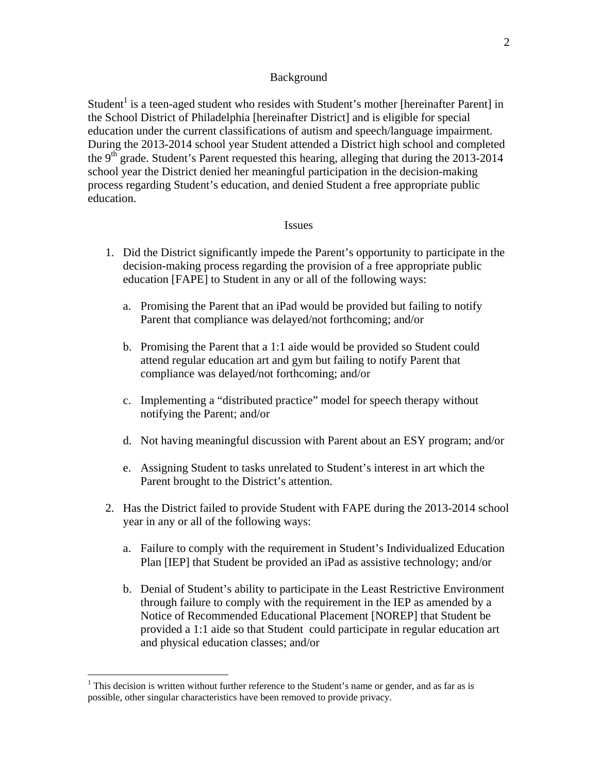#### Background

Student<sup>1</sup> is a teen-aged student who resides with Student's mother [hereinafter Parent] in the School District of Philadelphia [hereinafter District] and is eligible for special education under the current classifications of autism and speech/language impairment. During the 2013-2014 school year Student attended a District high school and completed the  $9<sup>th</sup>$  grade. Student's Parent requested this hearing, alleging that during the 2013-2014 school year the District denied her meaningful participation in the decision-making process regarding Student's education, and denied Student a free appropriate public education.

#### Issues

- 1. Did the District significantly impede the Parent's opportunity to participate in the decision-making process regarding the provision of a free appropriate public education [FAPE] to Student in any or all of the following ways:
	- a. Promising the Parent that an iPad would be provided but failing to notify Parent that compliance was delayed/not forthcoming; and/or
	- b. Promising the Parent that a 1:1 aide would be provided so Student could attend regular education art and gym but failing to notify Parent that compliance was delayed/not forthcoming; and/or
	- c. Implementing a "distributed practice" model for speech therapy without notifying the Parent; and/or
	- d. Not having meaningful discussion with Parent about an ESY program; and/or
	- e. Assigning Student to tasks unrelated to Student's interest in art which the Parent brought to the District's attention.
- 2. Has the District failed to provide Student with FAPE during the 2013-2014 school year in any or all of the following ways:
	- a. Failure to comply with the requirement in Student's Individualized Education Plan [IEP] that Student be provided an iPad as assistive technology; and/or
	- b. Denial of Student's ability to participate in the Least Restrictive Environment through failure to comply with the requirement in the IEP as amended by a Notice of Recommended Educational Placement [NOREP] that Student be provided a 1:1 aide so that Student could participate in regular education art and physical education classes; and/or

1

<sup>&</sup>lt;sup>1</sup> This decision is written without further reference to the Student's name or gender, and as far as is possible, other singular characteristics have been removed to provide privacy.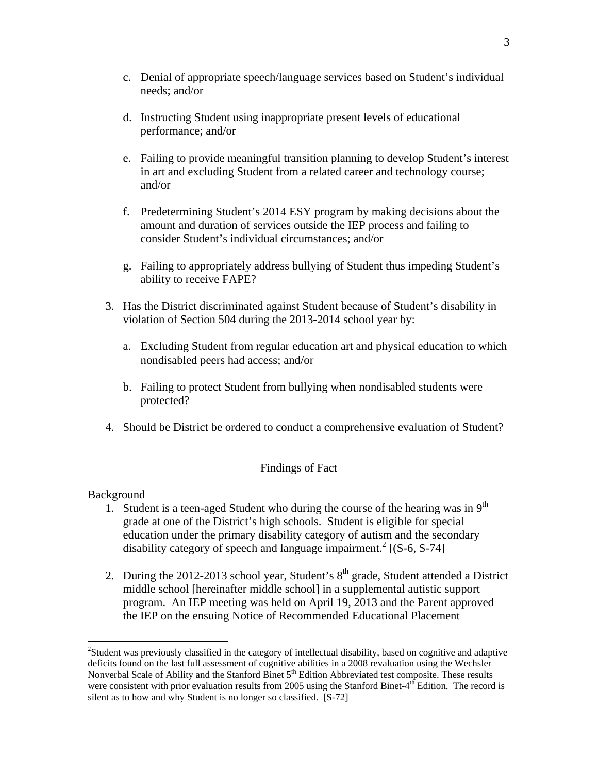- c. Denial of appropriate speech/language services based on Student's individual needs; and/or
- d. Instructing Student using inappropriate present levels of educational performance; and/or
- e. Failing to provide meaningful transition planning to develop Student's interest in art and excluding Student from a related career and technology course; and/or
- f. Predetermining Student's 2014 ESY program by making decisions about the amount and duration of services outside the IEP process and failing to consider Student's individual circumstances; and/or
- g. Failing to appropriately address bullying of Student thus impeding Student's ability to receive FAPE?
- 3. Has the District discriminated against Student because of Student's disability in violation of Section 504 during the 2013-2014 school year by:
	- a. Excluding Student from regular education art and physical education to which nondisabled peers had access; and/or
	- b. Failing to protect Student from bullying when nondisabled students were protected?
- 4. Should be District be ordered to conduct a comprehensive evaluation of Student?

## Findings of Fact

## Background

- 1. Student is a teen-aged Student who during the course of the hearing was in  $9<sup>th</sup>$ grade at one of the District's high schools. Student is eligible for special education under the primary disability category of autism and the secondary disability category of speech and language impairment.<sup>2</sup> [(S-6, S-74]
- 2. During the 2012-2013 school year, Student's  $8<sup>th</sup>$  grade, Student attended a District middle school [hereinafter middle school] in a supplemental autistic support program. An IEP meeting was held on April 19, 2013 and the Parent approved the IEP on the ensuing Notice of Recommended Educational Placement

<sup>&</sup>lt;sup>2</sup>Student was previously classified in the category of intellectual disability, based on cognitive and adaptive deficits found on the last full assessment of cognitive abilities in a 2008 revaluation using the Wechsler Nonverbal Scale of Ability and the Stanford Binet 5<sup>th</sup> Edition Abbreviated test composite. These results were consistent with prior evaluation results from 2005 using the Stanford Binet-4<sup>th</sup> Edition. The record is silent as to how and why Student is no longer so classified. [S-72]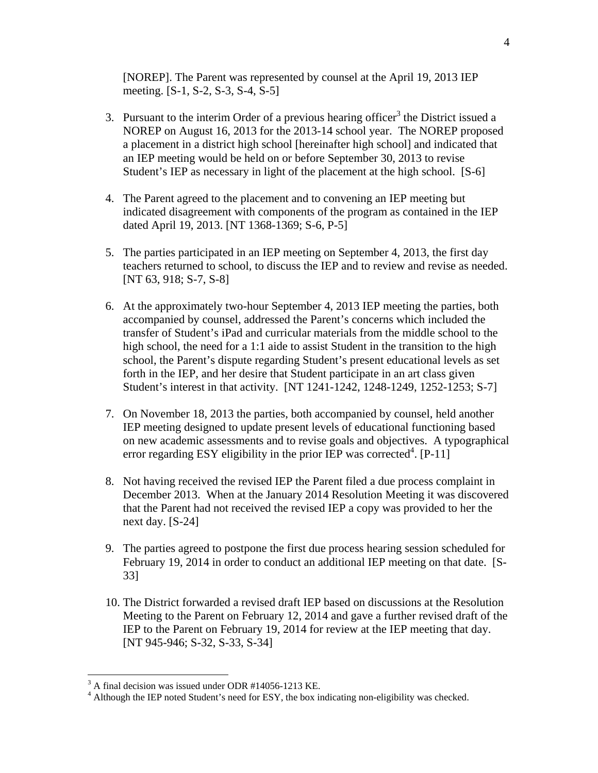[NOREP]. The Parent was represented by counsel at the April 19, 2013 IEP meeting. [S-1, S-2, S-3, S-4, S-5]

- 3. Pursuant to the interim Order of a previous hearing officer<sup>3</sup> the District issued a NOREP on August 16, 2013 for the 2013-14 school year. The NOREP proposed a placement in a district high school [hereinafter high school] and indicated that an IEP meeting would be held on or before September 30, 2013 to revise Student's IEP as necessary in light of the placement at the high school. [S-6]
- 4. The Parent agreed to the placement and to convening an IEP meeting but indicated disagreement with components of the program as contained in the IEP dated April 19, 2013. [NT 1368-1369; S-6, P-5]
- 5. The parties participated in an IEP meeting on September 4, 2013, the first day teachers returned to school, to discuss the IEP and to review and revise as needed. [NT 63, 918; S-7, S-8]
- 6. At the approximately two-hour September 4, 2013 IEP meeting the parties, both accompanied by counsel, addressed the Parent's concerns which included the transfer of Student's iPad and curricular materials from the middle school to the high school, the need for a 1:1 aide to assist Student in the transition to the high school, the Parent's dispute regarding Student's present educational levels as set forth in the IEP, and her desire that Student participate in an art class given Student's interest in that activity. [NT 1241-1242, 1248-1249, 1252-1253; S-7]
- 7. On November 18, 2013 the parties, both accompanied by counsel, held another IEP meeting designed to update present levels of educational functioning based on new academic assessments and to revise goals and objectives. A typographical error regarding ESY eligibility in the prior IEP was corrected<sup>4</sup>. [P-11]
- 8. Not having received the revised IEP the Parent filed a due process complaint in December 2013. When at the January 2014 Resolution Meeting it was discovered that the Parent had not received the revised IEP a copy was provided to her the next day. [S-24]
- 9. The parties agreed to postpone the first due process hearing session scheduled for February 19, 2014 in order to conduct an additional IEP meeting on that date. [S-33]
- 10. The District forwarded a revised draft IEP based on discussions at the Resolution Meeting to the Parent on February 12, 2014 and gave a further revised draft of the IEP to the Parent on February 19, 2014 for review at the IEP meeting that day. [NT 945-946; S-32, S-33, S-34]

 $3$  A final decision was issued under ODR #14056-1213 KE.

<sup>&</sup>lt;sup>4</sup> Although the IEP noted Student's need for ESY, the box indicating non-eligibility was checked.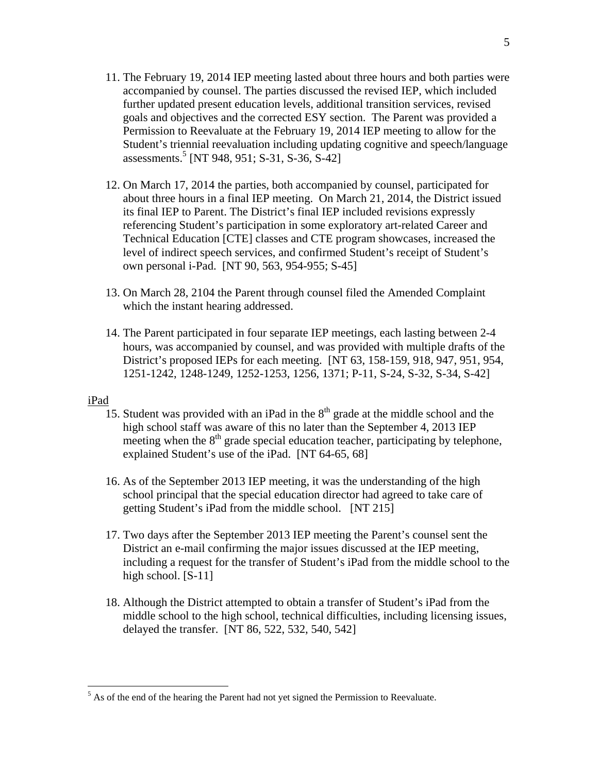- 11. The February 19, 2014 IEP meeting lasted about three hours and both parties were accompanied by counsel. The parties discussed the revised IEP, which included further updated present education levels, additional transition services, revised goals and objectives and the corrected ESY section. The Parent was provided a Permission to Reevaluate at the February 19, 2014 IEP meeting to allow for the Student's triennial reevaluation including updating cognitive and speech/language assessments.<sup>5</sup> [NT 948, 951; S-31, S-36, S-42]
- 12. On March 17, 2014 the parties, both accompanied by counsel, participated for about three hours in a final IEP meeting. On March 21, 2014, the District issued its final IEP to Parent. The District's final IEP included revisions expressly referencing Student's participation in some exploratory art-related Career and Technical Education [CTE] classes and CTE program showcases, increased the level of indirect speech services, and confirmed Student's receipt of Student's own personal i-Pad. [NT 90, 563, 954-955; S-45]
- 13. On March 28, 2104 the Parent through counsel filed the Amended Complaint which the instant hearing addressed.
- 14. The Parent participated in four separate IEP meetings, each lasting between 2-4 hours, was accompanied by counsel, and was provided with multiple drafts of the District's proposed IEPs for each meeting. [NT 63, 158-159, 918, 947, 951, 954, 1251-1242, 1248-1249, 1252-1253, 1256, 1371; P-11, S-24, S-32, S-34, S-42]

## iPad

- 15. Student was provided with an iPad in the  $8<sup>th</sup>$  grade at the middle school and the high school staff was aware of this no later than the September 4, 2013 IEP meeting when the  $8<sup>th</sup>$  grade special education teacher, participating by telephone, explained Student's use of the iPad. [NT 64-65, 68]
- 16. As of the September 2013 IEP meeting, it was the understanding of the high school principal that the special education director had agreed to take care of getting Student's iPad from the middle school. [NT 215]
- 17. Two days after the September 2013 IEP meeting the Parent's counsel sent the District an e-mail confirming the major issues discussed at the IEP meeting, including a request for the transfer of Student's iPad from the middle school to the high school. [S-11]
- 18. Although the District attempted to obtain a transfer of Student's iPad from the middle school to the high school, technical difficulties, including licensing issues, delayed the transfer. [NT 86, 522, 532, 540, 542]

 $<sup>5</sup>$  As of the end of the hearing the Parent had not yet signed the Permission to Reevaluate.</sup>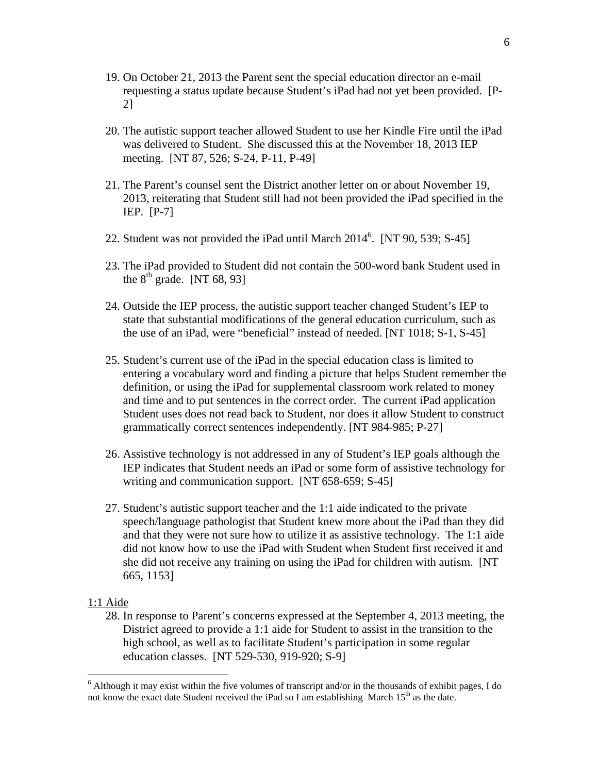- 19. On October 21, 2013 the Parent sent the special education director an e-mail requesting a status update because Student's iPad had not yet been provided. [P-2]
- 20. The autistic support teacher allowed Student to use her Kindle Fire until the iPad was delivered to Student. She discussed this at the November 18, 2013 IEP meeting. [NT 87, 526; S-24, P-11, P-49]
- 21. The Parent's counsel sent the District another letter on or about November 19, 2013, reiterating that Student still had not been provided the iPad specified in the IEP. [P-7]
- 22. Student was not provided the iPad until March  $2014^6$ . [NT 90, 539; S-45]
- 23. The iPad provided to Student did not contain the 500-word bank Student used in the  $8^{th}$  grade. [NT 68, 93]
- 24. Outside the IEP process, the autistic support teacher changed Student's IEP to state that substantial modifications of the general education curriculum, such as the use of an iPad, were "beneficial" instead of needed. [NT 1018; S-1, S-45]
- 25. Student's current use of the iPad in the special education class is limited to entering a vocabulary word and finding a picture that helps Student remember the definition, or using the iPad for supplemental classroom work related to money and time and to put sentences in the correct order. The current iPad application Student uses does not read back to Student, nor does it allow Student to construct grammatically correct sentences independently. [NT 984-985; P-27]
- 26. Assistive technology is not addressed in any of Student's IEP goals although the IEP indicates that Student needs an iPad or some form of assistive technology for writing and communication support. [NT 658-659; S-45]
- 27. Student's autistic support teacher and the 1:1 aide indicated to the private speech/language pathologist that Student knew more about the iPad than they did and that they were not sure how to utilize it as assistive technology. The 1:1 aide did not know how to use the iPad with Student when Student first received it and she did not receive any training on using the iPad for children with autism. [NT 665, 1153]

#### 1:1 Aide

 $\overline{a}$ 

28. In response to Parent's concerns expressed at the September 4, 2013 meeting, the District agreed to provide a 1:1 aide for Student to assist in the transition to the high school, as well as to facilitate Student's participation in some regular education classes. [NT 529-530, 919-920; S-9]

<sup>&</sup>lt;sup>6</sup> Although it may exist within the five volumes of transcript and/or in the thousands of exhibit pages, I do not know the exact date Student received the iPad so I am establishing March  $15<sup>th</sup>$  as the date.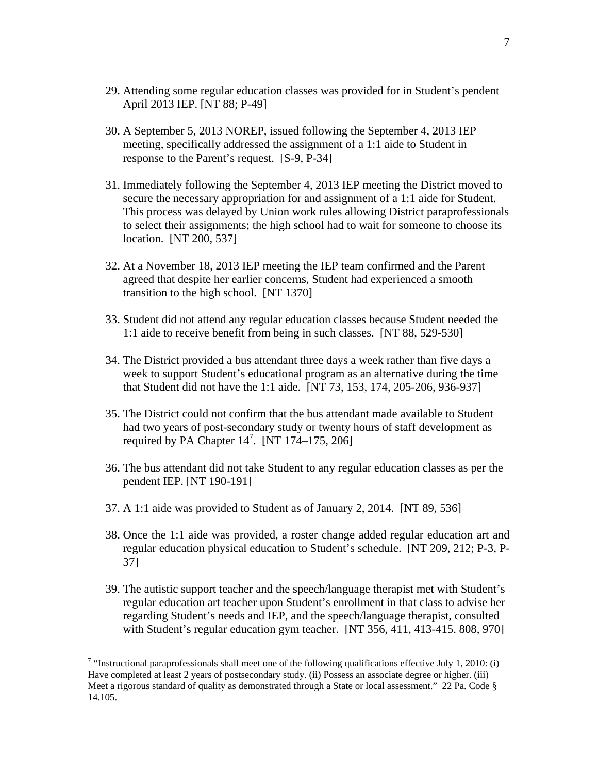- 29. Attending some regular education classes was provided for in Student's pendent April 2013 IEP. [NT 88; P-49]
- 30. A September 5, 2013 NOREP, issued following the September 4, 2013 IEP meeting, specifically addressed the assignment of a 1:1 aide to Student in response to the Parent's request. [S-9, P-34]
- 31. Immediately following the September 4, 2013 IEP meeting the District moved to secure the necessary appropriation for and assignment of a 1:1 aide for Student. This process was delayed by Union work rules allowing District paraprofessionals to select their assignments; the high school had to wait for someone to choose its location. [NT 200, 537]
- 32. At a November 18, 2013 IEP meeting the IEP team confirmed and the Parent agreed that despite her earlier concerns, Student had experienced a smooth transition to the high school. [NT 1370]
- 33. Student did not attend any regular education classes because Student needed the 1:1 aide to receive benefit from being in such classes. [NT 88, 529-530]
- 34. The District provided a bus attendant three days a week rather than five days a week to support Student's educational program as an alternative during the time that Student did not have the 1:1 aide. [NT 73, 153, 174, 205-206, 936-937]
- 35. The District could not confirm that the bus attendant made available to Student had two years of post-secondary study or twenty hours of staff development as required by PA Chapter  $14^7$ . [NT  $174-175$ ,  $206$ ]
- 36. The bus attendant did not take Student to any regular education classes as per the pendent IEP. [NT 190-191]
- 37. A 1:1 aide was provided to Student as of January 2, 2014. [NT 89, 536]
- 38. Once the 1:1 aide was provided, a roster change added regular education art and regular education physical education to Student's schedule. [NT 209, 212; P-3, P-37]
- 39. The autistic support teacher and the speech/language therapist met with Student's regular education art teacher upon Student's enrollment in that class to advise her regarding Student's needs and IEP, and the speech/language therapist, consulted with Student's regular education gym teacher. [NT 356, 411, 413-415. 808, 970]

<sup>&</sup>lt;sup>7</sup> "Instructional paraprofessionals shall meet one of the following qualifications effective July 1, 2010: (i) Have completed at least 2 years of postsecondary study. (ii) Possess an associate degree or higher. (iii) Meet a rigorous standard of quality as demonstrated through a State or local assessment." 22 Pa. Code § 14.105.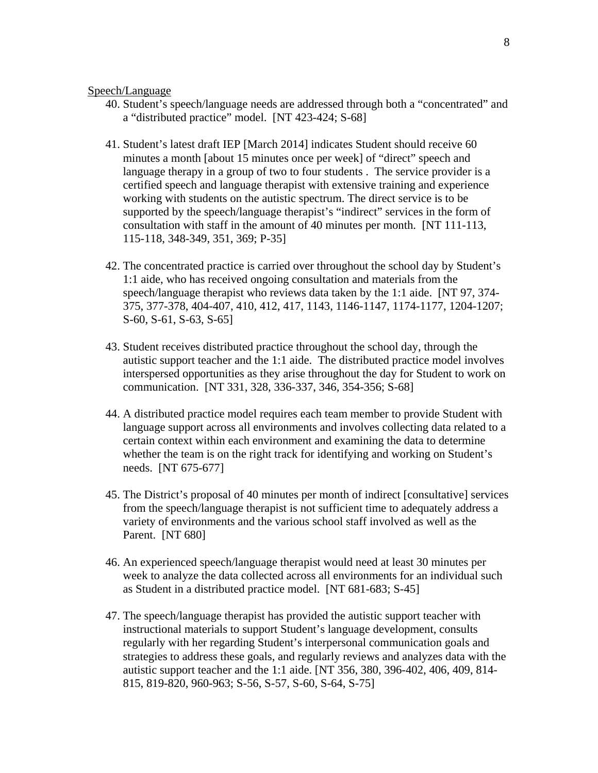### Speech/Language

- 40. Student's speech/language needs are addressed through both a "concentrated" and a "distributed practice" model. [NT 423-424; S-68]
- 41. Student's latest draft IEP [March 2014] indicates Student should receive 60 minutes a month [about 15 minutes once per week] of "direct" speech and language therapy in a group of two to four students . The service provider is a certified speech and language therapist with extensive training and experience working with students on the autistic spectrum. The direct service is to be supported by the speech/language therapist's "indirect" services in the form of consultation with staff in the amount of 40 minutes per month. [NT 111-113, 115-118, 348-349, 351, 369; P-35]
- 42. The concentrated practice is carried over throughout the school day by Student's 1:1 aide, who has received ongoing consultation and materials from the speech/language therapist who reviews data taken by the 1:1 aide. [NT 97, 374- 375, 377-378, 404-407, 410, 412, 417, 1143, 1146-1147, 1174-1177, 1204-1207; S-60, S-61, S-63, S-65]
- 43. Student receives distributed practice throughout the school day, through the autistic support teacher and the 1:1 aide. The distributed practice model involves interspersed opportunities as they arise throughout the day for Student to work on communication. [NT 331, 328, 336-337, 346, 354-356; S-68]
- 44. A distributed practice model requires each team member to provide Student with language support across all environments and involves collecting data related to a certain context within each environment and examining the data to determine whether the team is on the right track for identifying and working on Student's needs. [NT 675-677]
- 45. The District's proposal of 40 minutes per month of indirect [consultative] services from the speech/language therapist is not sufficient time to adequately address a variety of environments and the various school staff involved as well as the Parent. [NT 680]
- 46. An experienced speech/language therapist would need at least 30 minutes per week to analyze the data collected across all environments for an individual such as Student in a distributed practice model. [NT 681-683; S-45]
- 47. The speech/language therapist has provided the autistic support teacher with instructional materials to support Student's language development, consults regularly with her regarding Student's interpersonal communication goals and strategies to address these goals, and regularly reviews and analyzes data with the autistic support teacher and the 1:1 aide. [NT 356, 380, 396-402, 406, 409, 814- 815, 819-820, 960-963; S-56, S-57, S-60, S-64, S-75]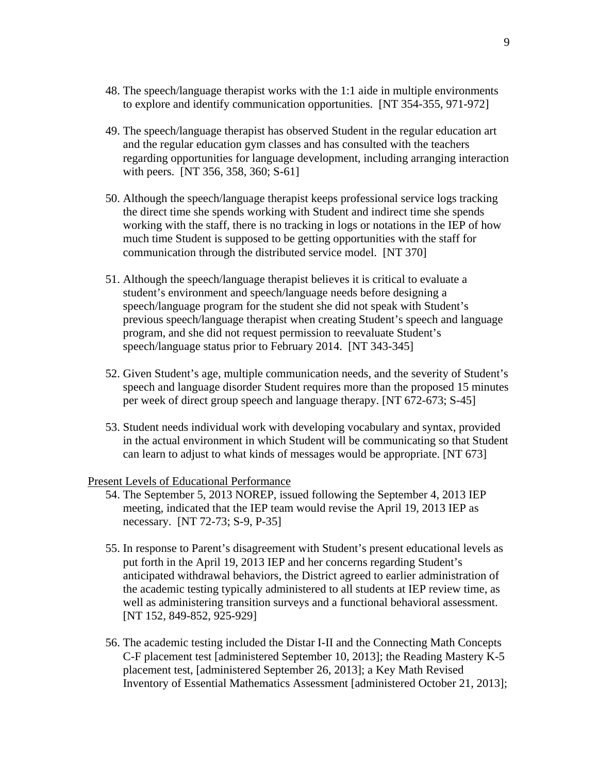- 48. The speech/language therapist works with the 1:1 aide in multiple environments to explore and identify communication opportunities. [NT 354-355, 971-972]
- 49. The speech/language therapist has observed Student in the regular education art and the regular education gym classes and has consulted with the teachers regarding opportunities for language development, including arranging interaction with peers. [NT 356, 358, 360; S-61]
- 50. Although the speech/language therapist keeps professional service logs tracking the direct time she spends working with Student and indirect time she spends working with the staff, there is no tracking in logs or notations in the IEP of how much time Student is supposed to be getting opportunities with the staff for communication through the distributed service model. [NT 370]
- 51. Although the speech/language therapist believes it is critical to evaluate a student's environment and speech/language needs before designing a speech/language program for the student she did not speak with Student's previous speech/language therapist when creating Student's speech and language program, and she did not request permission to reevaluate Student's speech/language status prior to February 2014. [NT 343-345]
- 52. Given Student's age, multiple communication needs, and the severity of Student's speech and language disorder Student requires more than the proposed 15 minutes per week of direct group speech and language therapy. [NT 672-673; S-45]
- 53. Student needs individual work with developing vocabulary and syntax, provided in the actual environment in which Student will be communicating so that Student can learn to adjust to what kinds of messages would be appropriate. [NT 673]

Present Levels of Educational Performance

- 54. The September 5, 2013 NOREP, issued following the September 4, 2013 IEP meeting, indicated that the IEP team would revise the April 19, 2013 IEP as necessary. [NT 72-73; S-9, P-35]
- 55. In response to Parent's disagreement with Student's present educational levels as put forth in the April 19, 2013 IEP and her concerns regarding Student's anticipated withdrawal behaviors, the District agreed to earlier administration of the academic testing typically administered to all students at IEP review time, as well as administering transition surveys and a functional behavioral assessment. [NT 152, 849-852, 925-929]
- 56. The academic testing included the Distar I-II and the Connecting Math Concepts C-F placement test [administered September 10, 2013]; the Reading Mastery K-5 placement test, [administered September 26, 2013]; a Key Math Revised Inventory of Essential Mathematics Assessment [administered October 21, 2013];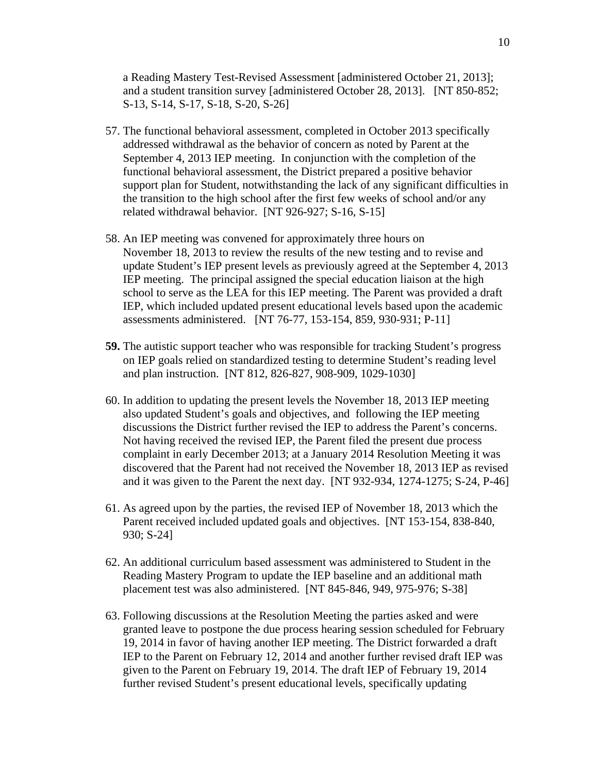a Reading Mastery Test-Revised Assessment [administered October 21, 2013]; and a student transition survey [administered October 28, 2013]. [NT 850-852; S-13, S-14, S-17, S-18, S-20, S-26]

- 57. The functional behavioral assessment, completed in October 2013 specifically addressed withdrawal as the behavior of concern as noted by Parent at the September 4, 2013 IEP meeting. In conjunction with the completion of the functional behavioral assessment, the District prepared a positive behavior support plan for Student, notwithstanding the lack of any significant difficulties in the transition to the high school after the first few weeks of school and/or any related withdrawal behavior. [NT 926-927; S-16, S-15]
- 58. An IEP meeting was convened for approximately three hours on November 18, 2013 to review the results of the new testing and to revise and update Student's IEP present levels as previously agreed at the September 4, 2013 IEP meeting. The principal assigned the special education liaison at the high school to serve as the LEA for this IEP meeting. The Parent was provided a draft IEP, which included updated present educational levels based upon the academic assessments administered. [NT 76-77, 153-154, 859, 930-931; P-11]
- **59.** The autistic support teacher who was responsible for tracking Student's progress on IEP goals relied on standardized testing to determine Student's reading level and plan instruction. [NT 812, 826-827, 908-909, 1029-1030]
- 60. In addition to updating the present levels the November 18, 2013 IEP meeting also updated Student's goals and objectives, and following the IEP meeting discussions the District further revised the IEP to address the Parent's concerns. Not having received the revised IEP, the Parent filed the present due process complaint in early December 2013; at a January 2014 Resolution Meeting it was discovered that the Parent had not received the November 18, 2013 IEP as revised and it was given to the Parent the next day. [NT 932-934, 1274-1275; S-24, P-46]
- 61. As agreed upon by the parties, the revised IEP of November 18, 2013 which the Parent received included updated goals and objectives. [NT 153-154, 838-840, 930; S-24]
- 62. An additional curriculum based assessment was administered to Student in the Reading Mastery Program to update the IEP baseline and an additional math placement test was also administered. [NT 845-846, 949, 975-976; S-38]
- 63. Following discussions at the Resolution Meeting the parties asked and were granted leave to postpone the due process hearing session scheduled for February 19, 2014 in favor of having another IEP meeting. The District forwarded a draft IEP to the Parent on February 12, 2014 and another further revised draft IEP was given to the Parent on February 19, 2014. The draft IEP of February 19, 2014 further revised Student's present educational levels, specifically updating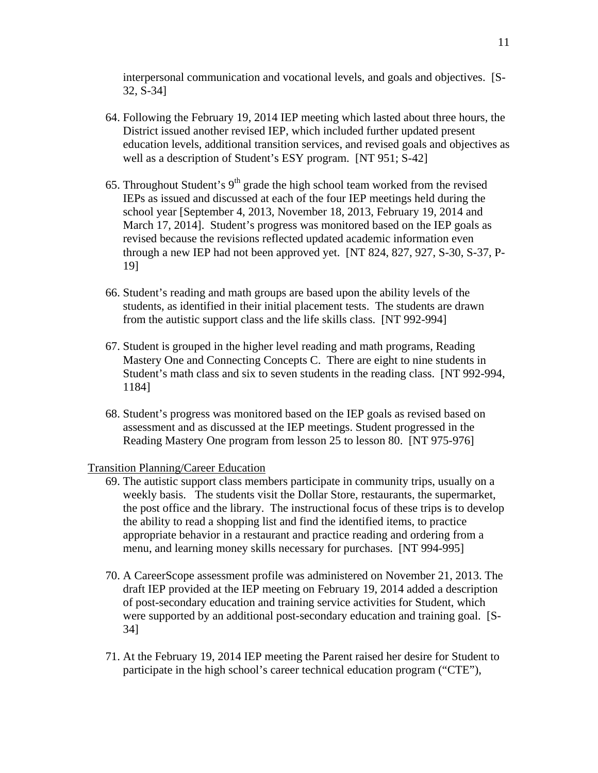interpersonal communication and vocational levels, and goals and objectives. [S-32, S-34]

- 64. Following the February 19, 2014 IEP meeting which lasted about three hours, the District issued another revised IEP, which included further updated present education levels, additional transition services, and revised goals and objectives as well as a description of Student's ESY program. [NT 951; S-42]
- 65. Throughout Student's  $9<sup>th</sup>$  grade the high school team worked from the revised IEPs as issued and discussed at each of the four IEP meetings held during the school year [September 4, 2013, November 18, 2013, February 19, 2014 and March 17, 2014]. Student's progress was monitored based on the IEP goals as revised because the revisions reflected updated academic information even through a new IEP had not been approved yet. [NT 824, 827, 927, S-30, S-37, P-19]
- 66. Student's reading and math groups are based upon the ability levels of the students, as identified in their initial placement tests. The students are drawn from the autistic support class and the life skills class. [NT 992-994]
- 67. Student is grouped in the higher level reading and math programs, Reading Mastery One and Connecting Concepts C. There are eight to nine students in Student's math class and six to seven students in the reading class. [NT 992-994, 1184]
- 68. Student's progress was monitored based on the IEP goals as revised based on assessment and as discussed at the IEP meetings. Student progressed in the Reading Mastery One program from lesson 25 to lesson 80. [NT 975-976]

## Transition Planning/Career Education

- 69. The autistic support class members participate in community trips, usually on a weekly basis. The students visit the Dollar Store, restaurants, the supermarket, the post office and the library. The instructional focus of these trips is to develop the ability to read a shopping list and find the identified items, to practice appropriate behavior in a restaurant and practice reading and ordering from a menu, and learning money skills necessary for purchases. [NT 994-995]
- 70. A CareerScope assessment profile was administered on November 21, 2013. The draft IEP provided at the IEP meeting on February 19, 2014 added a description of post-secondary education and training service activities for Student, which were supported by an additional post-secondary education and training goal. [S-34]
- 71. At the February 19, 2014 IEP meeting the Parent raised her desire for Student to participate in the high school's career technical education program ("CTE"),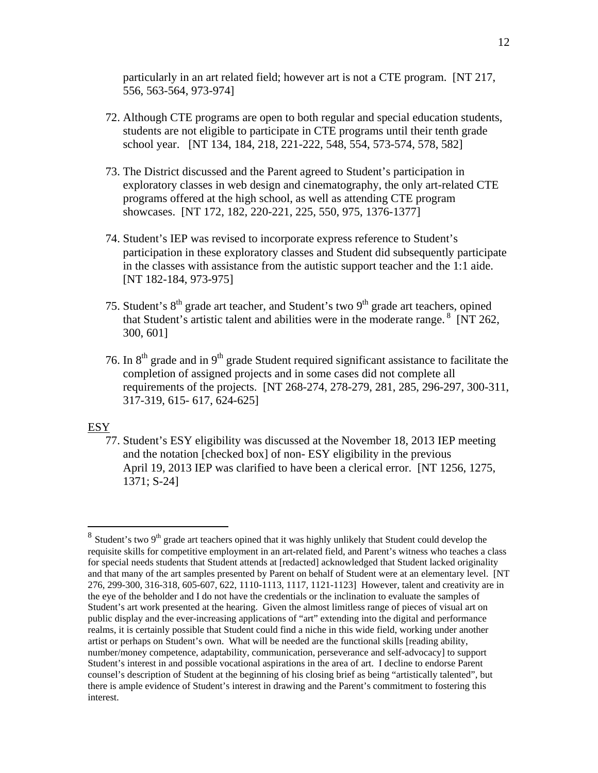particularly in an art related field; however art is not a CTE program. [NT 217, 556, 563-564, 973-974]

- 72. Although CTE programs are open to both regular and special education students, students are not eligible to participate in CTE programs until their tenth grade school year. [NT 134, 184, 218, 221-222, 548, 554, 573-574, 578, 582]
- 73. The District discussed and the Parent agreed to Student's participation in exploratory classes in web design and cinematography, the only art-related CTE programs offered at the high school, as well as attending CTE program showcases. [NT 172, 182, 220-221, 225, 550, 975, 1376-1377]
- 74. Student's IEP was revised to incorporate express reference to Student's participation in these exploratory classes and Student did subsequently participate in the classes with assistance from the autistic support teacher and the 1:1 aide. [NT 182-184, 973-975]
- 75. Student's  $8<sup>th</sup>$  grade art teacher, and Student's two  $9<sup>th</sup>$  grade art teachers, opined that Student's artistic talent and abilities were in the moderate range.  $8$  [NT 262, 300, 601]
- 76. In  $8<sup>th</sup>$  grade and in  $9<sup>th</sup>$  grade Student required significant assistance to facilitate the completion of assigned projects and in some cases did not complete all requirements of the projects. [NT 268-274, 278-279, 281, 285, 296-297, 300-311, 317-319, 615- 617, 624-625]

## ESY

1

77. Student's ESY eligibility was discussed at the November 18, 2013 IEP meeting and the notation [checked box] of non- ESY eligibility in the previous April 19, 2013 IEP was clarified to have been a clerical error. [NT 1256, 1275, 1371; S-24]

 $8$  Student's two 9<sup>th</sup> grade art teachers opined that it was highly unlikely that Student could develop the requisite skills for competitive employment in an art-related field, and Parent's witness who teaches a class for special needs students that Student attends at [redacted] acknowledged that Student lacked originality and that many of the art samples presented by Parent on behalf of Student were at an elementary level. [NT 276, 299-300, 316-318, 605-607, 622, 1110-1113, 1117, 1121-1123] However, talent and creativity are in the eye of the beholder and I do not have the credentials or the inclination to evaluate the samples of Student's art work presented at the hearing. Given the almost limitless range of pieces of visual art on public display and the ever-increasing applications of "art" extending into the digital and performance realms, it is certainly possible that Student could find a niche in this wide field, working under another artist or perhaps on Student's own. What will be needed are the functional skills [reading ability, number/money competence, adaptability, communication, perseverance and self-advocacy] to support Student's interest in and possible vocational aspirations in the area of art. I decline to endorse Parent counsel's description of Student at the beginning of his closing brief as being "artistically talented", but there is ample evidence of Student's interest in drawing and the Parent's commitment to fostering this interest.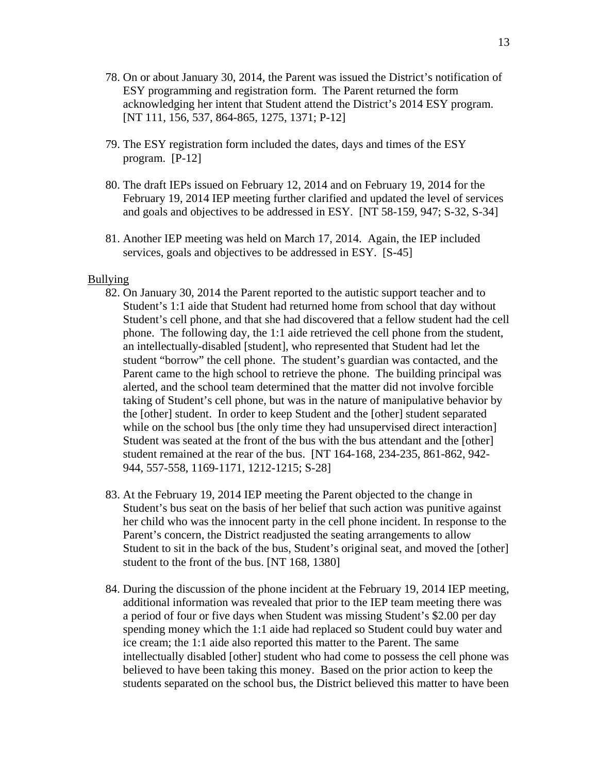- 78. On or about January 30, 2014, the Parent was issued the District's notification of ESY programming and registration form. The Parent returned the form acknowledging her intent that Student attend the District's 2014 ESY program. [NT 111, 156, 537, 864-865, 1275, 1371; P-12]
- 79. The ESY registration form included the dates, days and times of the ESY program. [P-12]
- 80. The draft IEPs issued on February 12, 2014 and on February 19, 2014 for the February 19, 2014 IEP meeting further clarified and updated the level of services and goals and objectives to be addressed in ESY. [NT 58-159, 947; S-32, S-34]
- 81. Another IEP meeting was held on March 17, 2014. Again, the IEP included services, goals and objectives to be addressed in ESY. [S-45]

#### Bullying

- 82. On January 30, 2014 the Parent reported to the autistic support teacher and to Student's 1:1 aide that Student had returned home from school that day without Student's cell phone, and that she had discovered that a fellow student had the cell phone. The following day, the 1:1 aide retrieved the cell phone from the student, an intellectually-disabled [student], who represented that Student had let the student "borrow" the cell phone. The student's guardian was contacted, and the Parent came to the high school to retrieve the phone. The building principal was alerted, and the school team determined that the matter did not involve forcible taking of Student's cell phone, but was in the nature of manipulative behavior by the [other] student. In order to keep Student and the [other] student separated while on the school bus [the only time they had unsupervised direct interaction] Student was seated at the front of the bus with the bus attendant and the [other] student remained at the rear of the bus. [NT 164-168, 234-235, 861-862, 942- 944, 557-558, 1169-1171, 1212-1215; S-28]
- 83. At the February 19, 2014 IEP meeting the Parent objected to the change in Student's bus seat on the basis of her belief that such action was punitive against her child who was the innocent party in the cell phone incident. In response to the Parent's concern, the District readjusted the seating arrangements to allow Student to sit in the back of the bus, Student's original seat, and moved the [other] student to the front of the bus. [NT 168, 1380]
- 84. During the discussion of the phone incident at the February 19, 2014 IEP meeting, additional information was revealed that prior to the IEP team meeting there was a period of four or five days when Student was missing Student's \$2.00 per day spending money which the 1:1 aide had replaced so Student could buy water and ice cream; the 1:1 aide also reported this matter to the Parent. The same intellectually disabled [other] student who had come to possess the cell phone was believed to have been taking this money. Based on the prior action to keep the students separated on the school bus, the District believed this matter to have been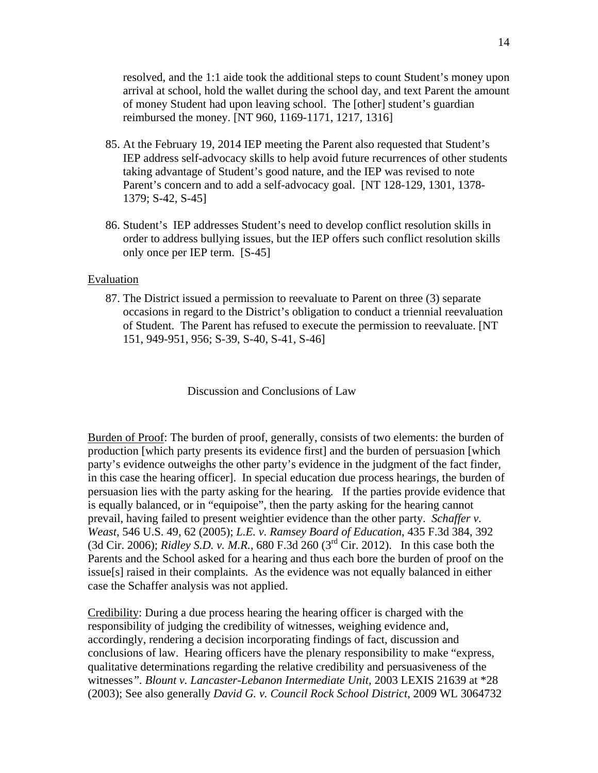resolved, and the 1:1 aide took the additional steps to count Student's money upon arrival at school, hold the wallet during the school day, and text Parent the amount of money Student had upon leaving school. The [other] student's guardian reimbursed the money. [NT 960, 1169-1171, 1217, 1316]

- 85. At the February 19, 2014 IEP meeting the Parent also requested that Student's IEP address self-advocacy skills to help avoid future recurrences of other students taking advantage of Student's good nature, and the IEP was revised to note Parent's concern and to add a self-advocacy goal. [NT 128-129, 1301, 1378- 1379; S-42, S-45]
- 86. Student's IEP addresses Student's need to develop conflict resolution skills in order to address bullying issues, but the IEP offers such conflict resolution skills only once per IEP term. [S-45]

## Evaluation

87. The District issued a permission to reevaluate to Parent on three (3) separate occasions in regard to the District's obligation to conduct a triennial reevaluation of Student. The Parent has refused to execute the permission to reevaluate. [NT 151, 949-951, 956; S-39, S-40, S-41, S-46]

Discussion and Conclusions of Law

Burden of Proof: The burden of proof, generally, consists of two elements: the burden of production [which party presents its evidence first] and the burden of persuasion [which party's evidence outweigh*s* the other party's evidence in the judgment of the fact finder, in this case the hearing officer]. In special education due process hearings, the burden of persuasion lies with the party asking for the hearing*.* If the parties provide evidence that is equally balanced, or in "equipoise", then the party asking for the hearing cannot prevail, having failed to present weightier evidence than the other party. *Schaffer v. Weast*, 546 U.S. 49, 62 (2005); *L.E. v. Ramsey Board of Education*, 435 F.3d 384, 392 (3d Cir. 2006); *Ridley S.D. v. M.R.*, 680 F.3d 260 (3rd Cir. 2012). In this case both the Parents and the School asked for a hearing and thus each bore the burden of proof on the issue[s] raised in their complaints. As the evidence was not equally balanced in either case the Schaffer analysis was not applied.

Credibility: During a due process hearing the hearing officer is charged with the responsibility of judging the credibility of witnesses, weighing evidence and, accordingly, rendering a decision incorporating findings of fact, discussion and conclusions of law. Hearing officers have the plenary responsibility to make "express, qualitative determinations regarding the relative credibility and persuasiveness of the witnesses*". Blount v. Lancaster-Lebanon Intermediate Unit,* 2003 LEXIS 21639 at \*28 (2003); See also generally *David G. v. Council Rock School District*, 2009 WL 3064732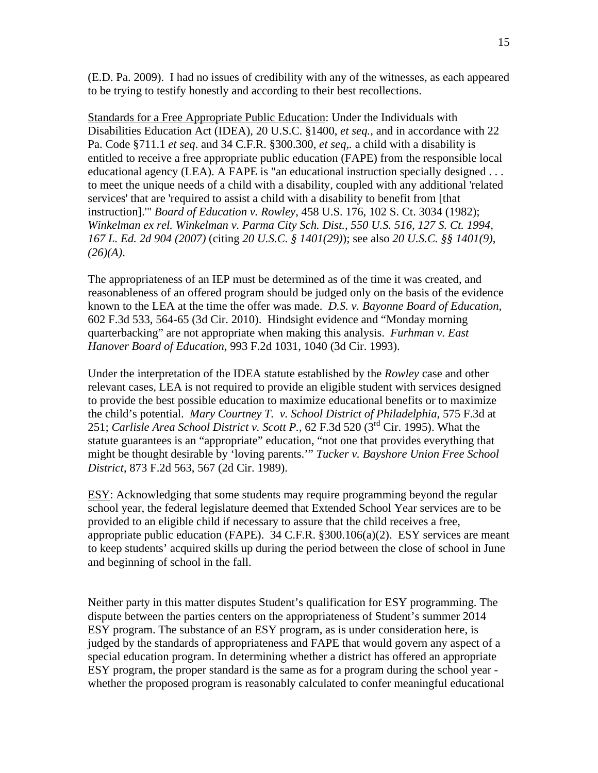(E.D. Pa. 2009). I had no issues of credibility with any of the witnesses, as each appeared to be trying to testify honestly and according to their best recollections.

Standards for a Free Appropriate Public Education: Under the Individuals with Disabilities Education Act (IDEA), 20 U.S.C. §1400, *et seq.*, and in accordance with 22 Pa. Code §711.1 *et seq*. and 34 C.F.R. §300.300, *et seq,.* a child with a disability is entitled to receive a free appropriate public education (FAPE) from the responsible local educational agency (LEA). A FAPE is "an educational instruction specially designed . . . to meet the unique needs of a child with a disability, coupled with any additional 'related services' that are 'required to assist a child with a disability to benefit from [that instruction].'" *Board of Education v. Rowley*, 458 U.S. 176, 102 S. Ct. 3034 (1982); *Winkelman ex rel. Winkelman v. Parma City Sch. Dist., 550 U.S. 516, 127 S. Ct. 1994, 167 L. Ed. 2d 904 (2007)* (citing *20 U.S.C. § 1401(29)*); see also *20 U.S.C. §§ 1401(9)*, *(26)(A)*.

The appropriateness of an IEP must be determined as of the time it was created, and reasonableness of an offered program should be judged only on the basis of the evidence known to the LEA at the time the offer was made. *D.S. v. Bayonne Board of Education,* 602 F.3d 533, 564-65 (3d Cir. 2010). Hindsight evidence and "Monday morning quarterbacking" are not appropriate when making this analysis. *Furhman v. East Hanover Board of Education*, 993 F.2d 1031, 1040 (3d Cir. 1993).

Under the interpretation of the IDEA statute established by the *Rowley* case and other relevant cases, LEA is not required to provide an eligible student with services designed to provide the best possible education to maximize educational benefits or to maximize the child's potential. *Mary Courtney T. v. School District of Philadelphia*, 575 F.3d at 251; *Carlisle Area School District v. Scott P.*, 62 F.3d 520 (3rd Cir. 1995). What the statute guarantees is an "appropriate" education, "not one that provides everything that might be thought desirable by 'loving parents.'" *Tucker v. Bayshore Union Free School District*, 873 F.2d 563, 567 (2d Cir. 1989).

ESY: Acknowledging that some students may require programming beyond the regular school year, the federal legislature deemed that Extended School Year services are to be provided to an eligible child if necessary to assure that the child receives a free, appropriate public education (FAPE). 34 C.F.R.  $\S 300.106(a)(2)$ . ESY services are meant to keep students' acquired skills up during the period between the close of school in June and beginning of school in the fall.

Neither party in this matter disputes Student's qualification for ESY programming. The dispute between the parties centers on the appropriateness of Student's summer 2014 ESY program. The substance of an ESY program, as is under consideration here, is judged by the standards of appropriateness and FAPE that would govern any aspect of a special education program. In determining whether a district has offered an appropriate ESY program, the proper standard is the same as for a program during the school year whether the proposed program is reasonably calculated to confer meaningful educational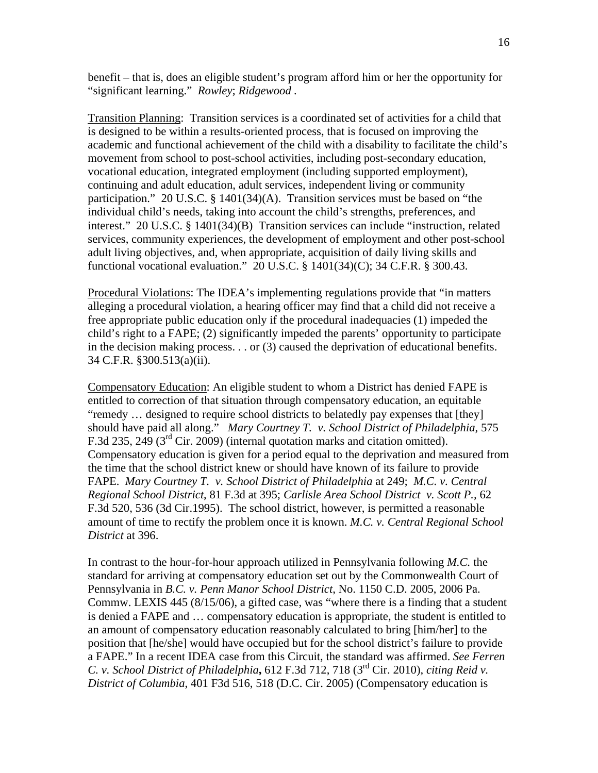benefit – that is, does an eligible student's program afford him or her the opportunity for "significant learning." *Rowley*; *Ridgewood .*

Transition Planning: Transition services is a coordinated set of activities for a child that is designed to be within a results-oriented process, that is focused on improving the academic and functional achievement of the child with a disability to facilitate the child's movement from school to post-school activities, including post-secondary education, vocational education, integrated employment (including supported employment), continuing and adult education, adult services, independent living or community participation." 20 U.S.C. § 1401(34)(A). Transition services must be based on "the individual child's needs, taking into account the child's strengths, preferences, and interest." 20 U.S.C. § 1401(34)(B) Transition services can include "instruction, related services, community experiences, the development of employment and other post-school adult living objectives, and, when appropriate, acquisition of daily living skills and functional vocational evaluation." 20 U.S.C. § 1401(34)(C); 34 C.F.R. § 300.43.

Procedural Violations: The IDEA's implementing regulations provide that "in matters alleging a procedural violation, a hearing officer may find that a child did not receive a free appropriate public education only if the procedural inadequacies (1) impeded the child's right to a FAPE; (2) significantly impeded the parents' opportunity to participate in the decision making process. . . or (3) caused the deprivation of educational benefits. 34 C.F.R. §300.513(a)(ii).

Compensatory Education: An eligible student to whom a District has denied FAPE is entitled to correction of that situation through compensatory education, an equitable "remedy … designed to require school districts to belatedly pay expenses that [they] should have paid all along." *Mary Courtney T. v. School District of Philadelphia*, 575 F.3d 235, 249 ( $3<sup>rd</sup>$  Cir. 2009) (internal quotation marks and citation omitted). Compensatory education is given for a period equal to the deprivation and measured from the time that the school district knew or should have known of its failure to provide FAPE. *Mary Courtney T. v. School District of Philadelphia* at 249; *M.C. v. Central Regional School District*, 81 F.3d at 395; *Carlisle Area School District v. Scott P.,* 62 F.3d 520, 536 (3d Cir.1995). The school district, however, is permitted a reasonable amount of time to rectify the problem once it is known. *M.C. v. Central Regional School District* at 396.

In contrast to the hour-for-hour approach utilized in Pennsylvania following *M.C.* the standard for arriving at compensatory education set out by the Commonwealth Court of Pennsylvania in *B.C. v. Penn Manor School District*, No. 1150 C.D. 2005, 2006 Pa. Commw. LEXIS 445 (8/15/06), a gifted case, was "where there is a finding that a student is denied a FAPE and … compensatory education is appropriate, the student is entitled to an amount of compensatory education reasonably calculated to bring [him/her] to the position that [he/she] would have occupied but for the school district's failure to provide a FAPE." In a recent IDEA case from this Circuit, the standard was affirmed. *See Ferren C. v. School District of Philadelphia***,** 612 F.3d 712, 718 (3rd Cir. 2010), *citing Reid v. District of Columbia*, 401 F3d 516, 518 (D.C. Cir. 2005) (Compensatory education is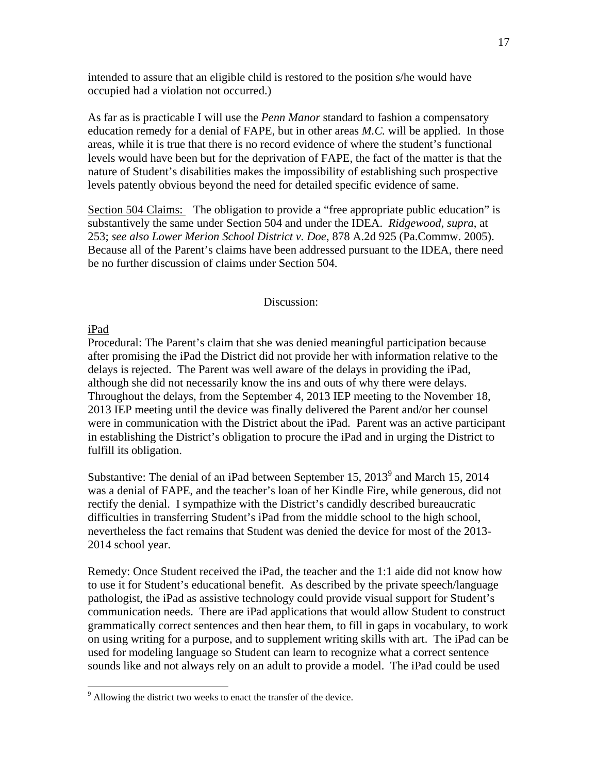intended to assure that an eligible child is restored to the position s/he would have occupied had a violation not occurred.)

As far as is practicable I will use the *Penn Manor* standard to fashion a compensatory education remedy for a denial of FAPE, but in other areas *M.C.* will be applied. In those areas, while it is true that there is no record evidence of where the student's functional levels would have been but for the deprivation of FAPE, the fact of the matter is that the nature of Student's disabilities makes the impossibility of establishing such prospective levels patently obvious beyond the need for detailed specific evidence of same.

Section 504 Claims: The obligation to provide a "free appropriate public education" is substantively the same under Section 504 and under the IDEA. *Ridgewood*, *supra*, at 253; *see also Lower Merion School District v. Doe*, 878 A.2d 925 (Pa.Commw. 2005). Because all of the Parent's claims have been addressed pursuant to the IDEA, there need be no further discussion of claims under Section 504.

#### Discussion:

#### iPad

<u>.</u>

Procedural: The Parent's claim that she was denied meaningful participation because after promising the iPad the District did not provide her with information relative to the delays is rejected. The Parent was well aware of the delays in providing the iPad, although she did not necessarily know the ins and outs of why there were delays. Throughout the delays, from the September 4, 2013 IEP meeting to the November 18, 2013 IEP meeting until the device was finally delivered the Parent and/or her counsel were in communication with the District about the iPad. Parent was an active participant in establishing the District's obligation to procure the iPad and in urging the District to fulfill its obligation.

Substantive: The denial of an iPad between September 15,  $2013<sup>9</sup>$  and March 15,  $2014$ was a denial of FAPE, and the teacher's loan of her Kindle Fire, while generous, did not rectify the denial. I sympathize with the District's candidly described bureaucratic difficulties in transferring Student's iPad from the middle school to the high school, nevertheless the fact remains that Student was denied the device for most of the 2013- 2014 school year.

Remedy: Once Student received the iPad, the teacher and the 1:1 aide did not know how to use it for Student's educational benefit. As described by the private speech/language pathologist, the iPad as assistive technology could provide visual support for Student's communication needs. There are iPad applications that would allow Student to construct grammatically correct sentences and then hear them, to fill in gaps in vocabulary, to work on using writing for a purpose, and to supplement writing skills with art. The iPad can be used for modeling language so Student can learn to recognize what a correct sentence sounds like and not always rely on an adult to provide a model. The iPad could be used

<sup>&</sup>lt;sup>9</sup> Allowing the district two weeks to enact the transfer of the device.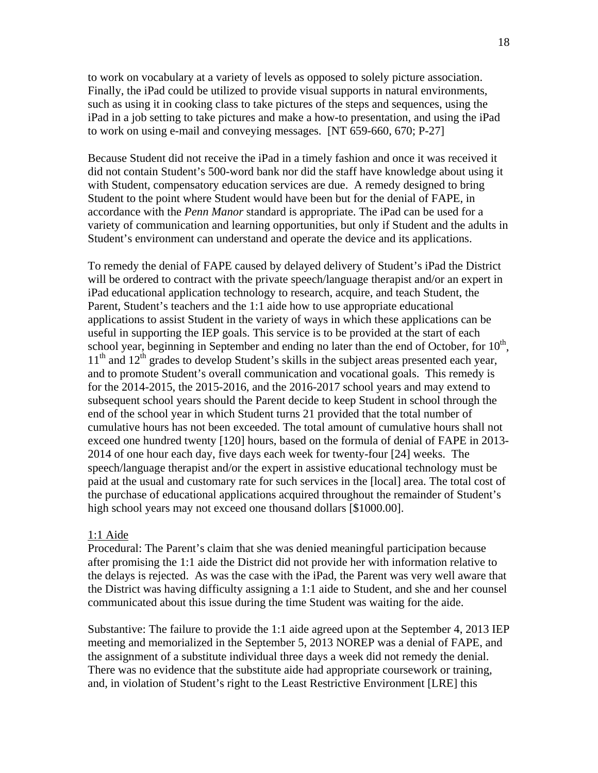to work on vocabulary at a variety of levels as opposed to solely picture association. Finally, the iPad could be utilized to provide visual supports in natural environments, such as using it in cooking class to take pictures of the steps and sequences, using the iPad in a job setting to take pictures and make a how-to presentation, and using the iPad to work on using e-mail and conveying messages. [NT 659-660, 670; P-27]

Because Student did not receive the iPad in a timely fashion and once it was received it did not contain Student's 500-word bank nor did the staff have knowledge about using it with Student, compensatory education services are due. A remedy designed to bring Student to the point where Student would have been but for the denial of FAPE, in accordance with the *Penn Manor* standard is appropriate. The iPad can be used for a variety of communication and learning opportunities, but only if Student and the adults in Student's environment can understand and operate the device and its applications.

To remedy the denial of FAPE caused by delayed delivery of Student's iPad the District will be ordered to contract with the private speech/language therapist and/or an expert in iPad educational application technology to research, acquire, and teach Student, the Parent, Student's teachers and the 1:1 aide how to use appropriate educational applications to assist Student in the variety of ways in which these applications can be useful in supporting the IEP goals. This service is to be provided at the start of each school year, beginning in September and ending no later than the end of October, for  $10<sup>th</sup>$ ,  $11<sup>th</sup>$  and  $12<sup>th</sup>$  grades to develop Student's skills in the subject areas presented each year, and to promote Student's overall communication and vocational goals. This remedy is for the 2014-2015, the 2015-2016, and the 2016-2017 school years and may extend to subsequent school years should the Parent decide to keep Student in school through the end of the school year in which Student turns 21 provided that the total number of cumulative hours has not been exceeded. The total amount of cumulative hours shall not exceed one hundred twenty [120] hours, based on the formula of denial of FAPE in 2013- 2014 of one hour each day, five days each week for twenty-four [24] weeks. The speech/language therapist and/or the expert in assistive educational technology must be paid at the usual and customary rate for such services in the [local] area. The total cost of the purchase of educational applications acquired throughout the remainder of Student's high school years may not exceed one thousand dollars [\$1000.00].

#### 1:1 Aide

Procedural: The Parent's claim that she was denied meaningful participation because after promising the 1:1 aide the District did not provide her with information relative to the delays is rejected. As was the case with the iPad, the Parent was very well aware that the District was having difficulty assigning a 1:1 aide to Student, and she and her counsel communicated about this issue during the time Student was waiting for the aide.

Substantive: The failure to provide the 1:1 aide agreed upon at the September 4, 2013 IEP meeting and memorialized in the September 5, 2013 NOREP was a denial of FAPE, and the assignment of a substitute individual three days a week did not remedy the denial. There was no evidence that the substitute aide had appropriate coursework or training, and, in violation of Student's right to the Least Restrictive Environment [LRE] this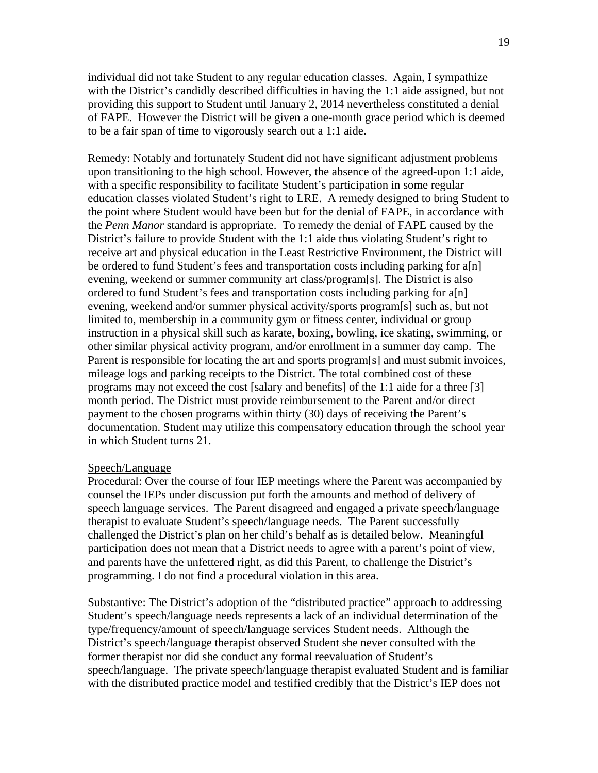individual did not take Student to any regular education classes. Again, I sympathize with the District's candidly described difficulties in having the 1:1 aide assigned, but not providing this support to Student until January 2, 2014 nevertheless constituted a denial of FAPE. However the District will be given a one-month grace period which is deemed to be a fair span of time to vigorously search out a 1:1 aide.

Remedy: Notably and fortunately Student did not have significant adjustment problems upon transitioning to the high school. However, the absence of the agreed-upon 1:1 aide, with a specific responsibility to facilitate Student's participation in some regular education classes violated Student's right to LRE. A remedy designed to bring Student to the point where Student would have been but for the denial of FAPE, in accordance with the *Penn Manor* standard is appropriate. To remedy the denial of FAPE caused by the District's failure to provide Student with the 1:1 aide thus violating Student's right to receive art and physical education in the Least Restrictive Environment, the District will be ordered to fund Student's fees and transportation costs including parking for a[n] evening, weekend or summer community art class/program[s]. The District is also ordered to fund Student's fees and transportation costs including parking for a[n] evening, weekend and/or summer physical activity/sports program[s] such as, but not limited to, membership in a community gym or fitness center, individual or group instruction in a physical skill such as karate, boxing, bowling, ice skating, swimming, or other similar physical activity program, and/or enrollment in a summer day camp. The Parent is responsible for locating the art and sports program[s] and must submit invoices, mileage logs and parking receipts to the District. The total combined cost of these programs may not exceed the cost [salary and benefits] of the 1:1 aide for a three [3] month period. The District must provide reimbursement to the Parent and/or direct payment to the chosen programs within thirty (30) days of receiving the Parent's documentation. Student may utilize this compensatory education through the school year in which Student turns 21.

#### Speech/Language

Procedural: Over the course of four IEP meetings where the Parent was accompanied by counsel the IEPs under discussion put forth the amounts and method of delivery of speech language services. The Parent disagreed and engaged a private speech/language therapist to evaluate Student's speech/language needs. The Parent successfully challenged the District's plan on her child's behalf as is detailed below. Meaningful participation does not mean that a District needs to agree with a parent's point of view, and parents have the unfettered right, as did this Parent, to challenge the District's programming. I do not find a procedural violation in this area.

Substantive: The District's adoption of the "distributed practice" approach to addressing Student's speech/language needs represents a lack of an individual determination of the type/frequency/amount of speech/language services Student needs. Although the District's speech/language therapist observed Student she never consulted with the former therapist nor did she conduct any formal reevaluation of Student's speech/language. The private speech/language therapist evaluated Student and is familiar with the distributed practice model and testified credibly that the District's IEP does not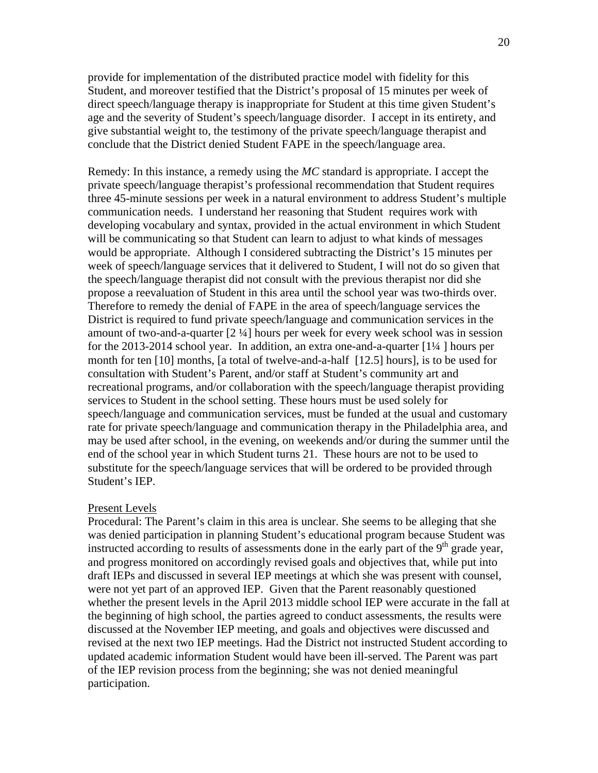provide for implementation of the distributed practice model with fidelity for this Student, and moreover testified that the District's proposal of 15 minutes per week of direct speech/language therapy is inappropriate for Student at this time given Student's age and the severity of Student's speech/language disorder. I accept in its entirety, and give substantial weight to, the testimony of the private speech/language therapist and conclude that the District denied Student FAPE in the speech/language area.

Remedy: In this instance, a remedy using the *MC* standard is appropriate. I accept the private speech/language therapist's professional recommendation that Student requires three 45-minute sessions per week in a natural environment to address Student's multiple communication needs. I understand her reasoning that Student requires work with developing vocabulary and syntax, provided in the actual environment in which Student will be communicating so that Student can learn to adjust to what kinds of messages would be appropriate. Although I considered subtracting the District's 15 minutes per week of speech/language services that it delivered to Student, I will not do so given that the speech/language therapist did not consult with the previous therapist nor did she propose a reevaluation of Student in this area until the school year was two-thirds over. Therefore to remedy the denial of FAPE in the area of speech/language services the District is required to fund private speech/language and communication services in the amount of two-and-a-quarter [2 ¼] hours per week for every week school was in session for the 2013-2014 school year. In addition, an extra one-and-a-quarter [1¼ ] hours per month for ten [10] months, [a total of twelve-and-a-half [12.5] hours], is to be used for consultation with Student's Parent, and/or staff at Student's community art and recreational programs, and/or collaboration with the speech/language therapist providing services to Student in the school setting. These hours must be used solely for speech/language and communication services, must be funded at the usual and customary rate for private speech/language and communication therapy in the Philadelphia area, and may be used after school, in the evening, on weekends and/or during the summer until the end of the school year in which Student turns 21. These hours are not to be used to substitute for the speech/language services that will be ordered to be provided through Student's IEP.

#### Present Levels

Procedural: The Parent's claim in this area is unclear. She seems to be alleging that she was denied participation in planning Student's educational program because Student was instructed according to results of assessments done in the early part of the  $9<sup>th</sup>$  grade year, and progress monitored on accordingly revised goals and objectives that, while put into draft IEPs and discussed in several IEP meetings at which she was present with counsel, were not yet part of an approved IEP. Given that the Parent reasonably questioned whether the present levels in the April 2013 middle school IEP were accurate in the fall at the beginning of high school, the parties agreed to conduct assessments, the results were discussed at the November IEP meeting, and goals and objectives were discussed and revised at the next two IEP meetings. Had the District not instructed Student according to updated academic information Student would have been ill-served. The Parent was part of the IEP revision process from the beginning; she was not denied meaningful participation.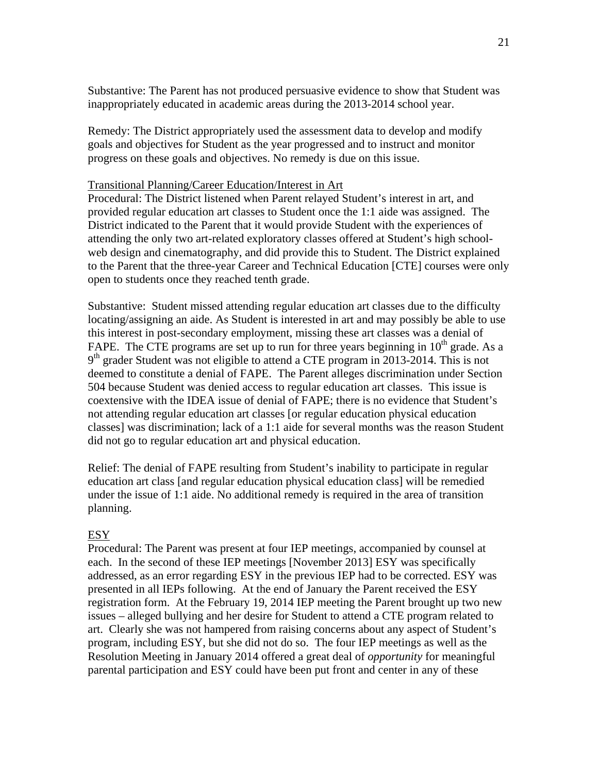Substantive: The Parent has not produced persuasive evidence to show that Student was inappropriately educated in academic areas during the 2013-2014 school year.

Remedy: The District appropriately used the assessment data to develop and modify goals and objectives for Student as the year progressed and to instruct and monitor progress on these goals and objectives. No remedy is due on this issue.

#### Transitional Planning/Career Education/Interest in Art

Procedural: The District listened when Parent relayed Student's interest in art, and provided regular education art classes to Student once the 1:1 aide was assigned. The District indicated to the Parent that it would provide Student with the experiences of attending the only two art-related exploratory classes offered at Student's high schoolweb design and cinematography, and did provide this to Student. The District explained to the Parent that the three-year Career and Technical Education [CTE] courses were only open to students once they reached tenth grade.

Substantive: Student missed attending regular education art classes due to the difficulty locating/assigning an aide. As Student is interested in art and may possibly be able to use this interest in post-secondary employment, missing these art classes was a denial of FAPE. The CTE programs are set up to run for three years beginning in  $10<sup>th</sup>$  grade. As a  $9<sup>th</sup>$  grader Student was not eligible to attend a CTE program in 2013-2014. This is not deemed to constitute a denial of FAPE. The Parent alleges discrimination under Section 504 because Student was denied access to regular education art classes. This issue is coextensive with the IDEA issue of denial of FAPE; there is no evidence that Student's not attending regular education art classes [or regular education physical education classes] was discrimination; lack of a 1:1 aide for several months was the reason Student did not go to regular education art and physical education.

Relief: The denial of FAPE resulting from Student's inability to participate in regular education art class [and regular education physical education class] will be remedied under the issue of 1:1 aide. No additional remedy is required in the area of transition planning.

#### ESY

Procedural: The Parent was present at four IEP meetings, accompanied by counsel at each. In the second of these IEP meetings [November 2013] ESY was specifically addressed, as an error regarding ESY in the previous IEP had to be corrected. ESY was presented in all IEPs following. At the end of January the Parent received the ESY registration form. At the February 19, 2014 IEP meeting the Parent brought up two new issues – alleged bullying and her desire for Student to attend a CTE program related to art. Clearly she was not hampered from raising concerns about any aspect of Student's program, including ESY, but she did not do so. The four IEP meetings as well as the Resolution Meeting in January 2014 offered a great deal of *opportunity* for meaningful parental participation and ESY could have been put front and center in any of these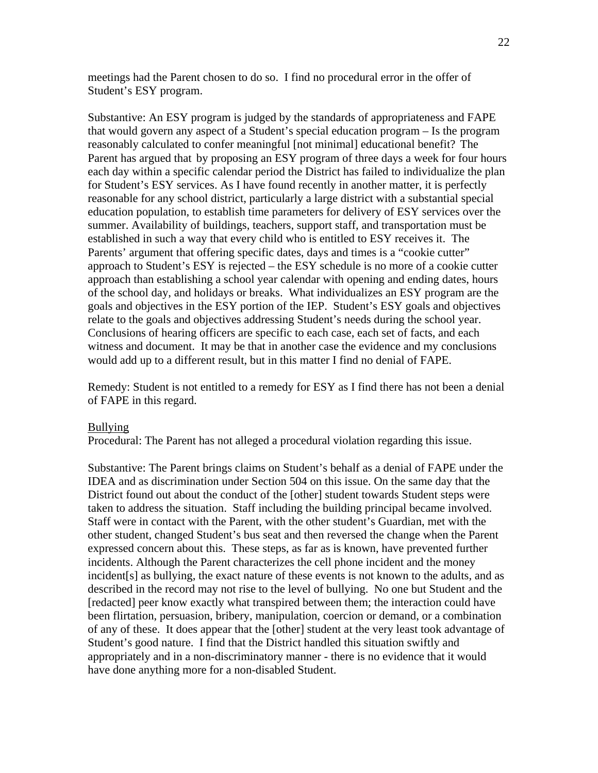meetings had the Parent chosen to do so. I find no procedural error in the offer of Student's ESY program.

Substantive: An ESY program is judged by the standards of appropriateness and FAPE that would govern any aspect of a Student's special education program – Is the program reasonably calculated to confer meaningful [not minimal] educational benefit? The Parent has argued that by proposing an ESY program of three days a week for four hours each day within a specific calendar period the District has failed to individualize the plan for Student's ESY services. As I have found recently in another matter, it is perfectly reasonable for any school district, particularly a large district with a substantial special education population, to establish time parameters for delivery of ESY services over the summer. Availability of buildings, teachers, support staff, and transportation must be established in such a way that every child who is entitled to ESY receives it. The Parents' argument that offering specific dates, days and times is a "cookie cutter" approach to Student's ESY is rejected – the ESY schedule is no more of a cookie cutter approach than establishing a school year calendar with opening and ending dates, hours of the school day, and holidays or breaks. What individualizes an ESY program are the goals and objectives in the ESY portion of the IEP. Student's ESY goals and objectives relate to the goals and objectives addressing Student's needs during the school year. Conclusions of hearing officers are specific to each case, each set of facts, and each witness and document. It may be that in another case the evidence and my conclusions would add up to a different result, but in this matter I find no denial of FAPE.

Remedy: Student is not entitled to a remedy for ESY as I find there has not been a denial of FAPE in this regard.

#### Bullying

Procedural: The Parent has not alleged a procedural violation regarding this issue.

Substantive: The Parent brings claims on Student's behalf as a denial of FAPE under the IDEA and as discrimination under Section 504 on this issue. On the same day that the District found out about the conduct of the [other] student towards Student steps were taken to address the situation. Staff including the building principal became involved. Staff were in contact with the Parent, with the other student's Guardian, met with the other student, changed Student's bus seat and then reversed the change when the Parent expressed concern about this. These steps, as far as is known, have prevented further incidents. Although the Parent characterizes the cell phone incident and the money incident[s] as bullying, the exact nature of these events is not known to the adults, and as described in the record may not rise to the level of bullying. No one but Student and the [redacted] peer know exactly what transpired between them; the interaction could have been flirtation, persuasion, bribery, manipulation, coercion or demand, or a combination of any of these. It does appear that the [other] student at the very least took advantage of Student's good nature. I find that the District handled this situation swiftly and appropriately and in a non-discriminatory manner - there is no evidence that it would have done anything more for a non-disabled Student.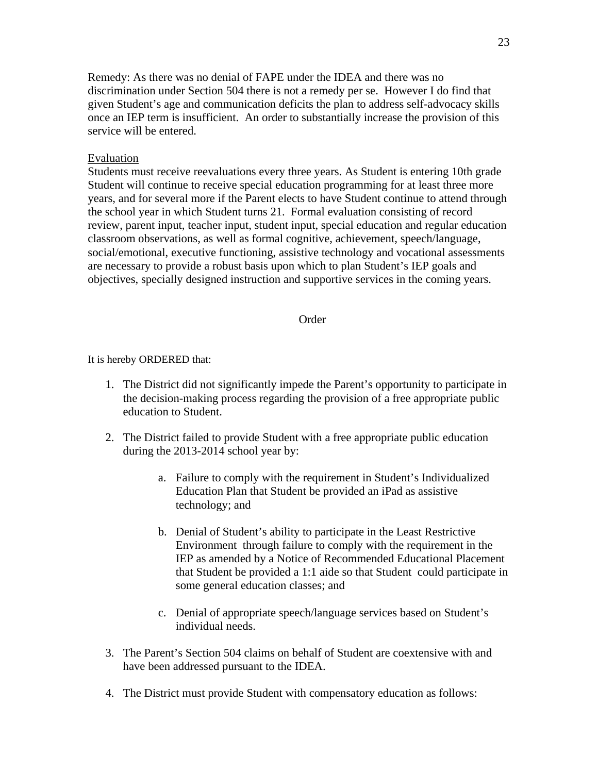Remedy: As there was no denial of FAPE under the IDEA and there was no discrimination under Section 504 there is not a remedy per se. However I do find that given Student's age and communication deficits the plan to address self-advocacy skills once an IEP term is insufficient. An order to substantially increase the provision of this service will be entered.

## Evaluation

Students must receive reevaluations every three years. As Student is entering 10th grade Student will continue to receive special education programming for at least three more years, and for several more if the Parent elects to have Student continue to attend through the school year in which Student turns 21. Formal evaluation consisting of record review, parent input, teacher input, student input, special education and regular education classroom observations, as well as formal cognitive, achievement, speech/language, social/emotional, executive functioning, assistive technology and vocational assessments are necessary to provide a robust basis upon which to plan Student's IEP goals and objectives, specially designed instruction and supportive services in the coming years.

#### **Order**

It is hereby ORDERED that:

- 1. The District did not significantly impede the Parent's opportunity to participate in the decision-making process regarding the provision of a free appropriate public education to Student.
- 2. The District failed to provide Student with a free appropriate public education during the 2013-2014 school year by:
	- a. Failure to comply with the requirement in Student's Individualized Education Plan that Student be provided an iPad as assistive technology; and
	- b. Denial of Student's ability to participate in the Least Restrictive Environment through failure to comply with the requirement in the IEP as amended by a Notice of Recommended Educational Placement that Student be provided a 1:1 aide so that Student could participate in some general education classes; and
	- c. Denial of appropriate speech/language services based on Student's individual needs.
- 3. The Parent's Section 504 claims on behalf of Student are coextensive with and have been addressed pursuant to the IDEA.
- 4. The District must provide Student with compensatory education as follows: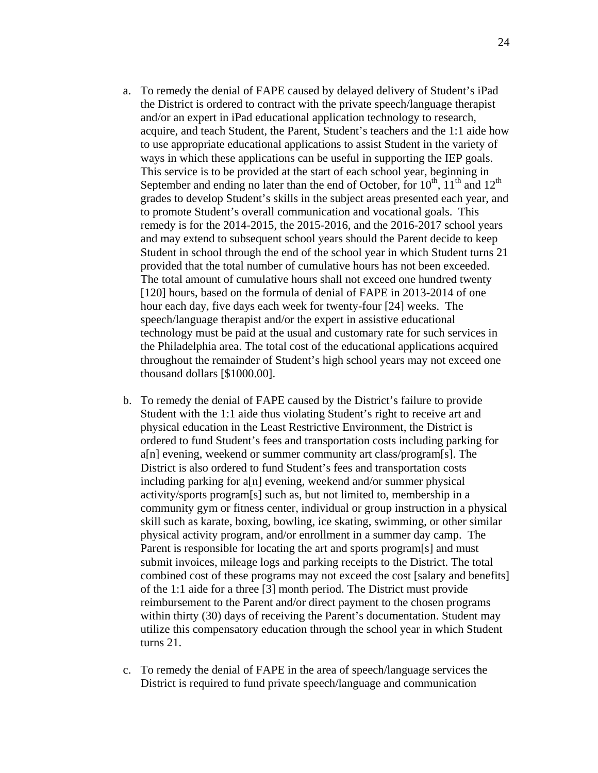- a. To remedy the denial of FAPE caused by delayed delivery of Student's iPad the District is ordered to contract with the private speech/language therapist and/or an expert in iPad educational application technology to research, acquire, and teach Student, the Parent, Student's teachers and the 1:1 aide how to use appropriate educational applications to assist Student in the variety of ways in which these applications can be useful in supporting the IEP goals. This service is to be provided at the start of each school year, beginning in September and ending no later than the end of October, for  $10^{th}$ ,  $11^{th}$  and  $12^{th}$ grades to develop Student's skills in the subject areas presented each year, and to promote Student's overall communication and vocational goals. This remedy is for the 2014-2015, the 2015-2016, and the 2016-2017 school years and may extend to subsequent school years should the Parent decide to keep Student in school through the end of the school year in which Student turns 21 provided that the total number of cumulative hours has not been exceeded. The total amount of cumulative hours shall not exceed one hundred twenty [120] hours, based on the formula of denial of FAPE in 2013-2014 of one hour each day, five days each week for twenty-four [24] weeks. The speech/language therapist and/or the expert in assistive educational technology must be paid at the usual and customary rate for such services in the Philadelphia area. The total cost of the educational applications acquired throughout the remainder of Student's high school years may not exceed one thousand dollars [\$1000.00].
- b. To remedy the denial of FAPE caused by the District's failure to provide Student with the 1:1 aide thus violating Student's right to receive art and physical education in the Least Restrictive Environment, the District is ordered to fund Student's fees and transportation costs including parking for a[n] evening, weekend or summer community art class/program[s]. The District is also ordered to fund Student's fees and transportation costs including parking for a[n] evening, weekend and/or summer physical activity/sports program[s] such as, but not limited to, membership in a community gym or fitness center, individual or group instruction in a physical skill such as karate, boxing, bowling, ice skating, swimming, or other similar physical activity program, and/or enrollment in a summer day camp. The Parent is responsible for locating the art and sports program[s] and must submit invoices, mileage logs and parking receipts to the District. The total combined cost of these programs may not exceed the cost [salary and benefits] of the 1:1 aide for a three [3] month period. The District must provide reimbursement to the Parent and/or direct payment to the chosen programs within thirty (30) days of receiving the Parent's documentation. Student may utilize this compensatory education through the school year in which Student turns 21.
- c. To remedy the denial of FAPE in the area of speech/language services the District is required to fund private speech/language and communication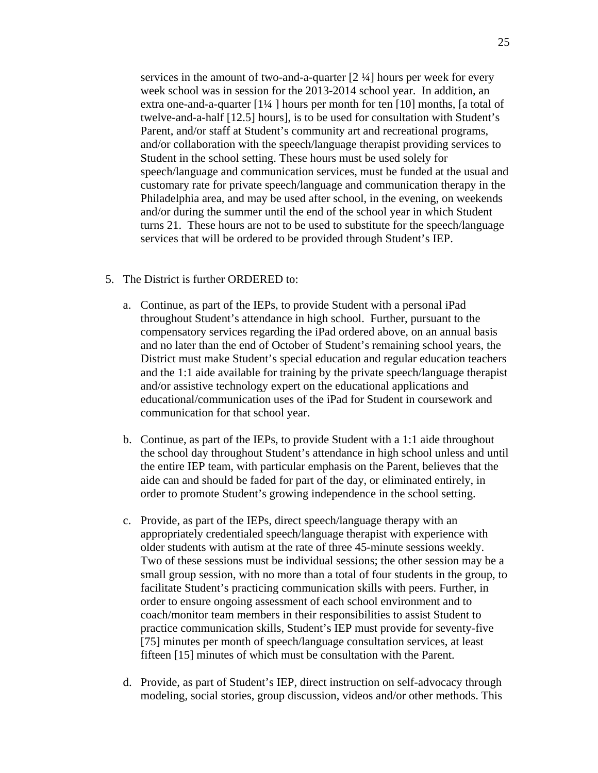services in the amount of two-and-a-quarter [2 ¼] hours per week for every week school was in session for the 2013-2014 school year. In addition, an extra one-and-a-quarter [1¼ ] hours per month for ten [10] months, [a total of twelve-and-a-half [12.5] hours], is to be used for consultation with Student's Parent, and/or staff at Student's community art and recreational programs, and/or collaboration with the speech/language therapist providing services to Student in the school setting. These hours must be used solely for speech/language and communication services, must be funded at the usual and customary rate for private speech/language and communication therapy in the Philadelphia area, and may be used after school, in the evening, on weekends and/or during the summer until the end of the school year in which Student turns 21. These hours are not to be used to substitute for the speech/language services that will be ordered to be provided through Student's IEP.

- 5. The District is further ORDERED to:
	- a. Continue, as part of the IEPs, to provide Student with a personal iPad throughout Student's attendance in high school. Further, pursuant to the compensatory services regarding the iPad ordered above, on an annual basis and no later than the end of October of Student's remaining school years, the District must make Student's special education and regular education teachers and the 1:1 aide available for training by the private speech/language therapist and/or assistive technology expert on the educational applications and educational/communication uses of the iPad for Student in coursework and communication for that school year.
	- b. Continue, as part of the IEPs, to provide Student with a 1:1 aide throughout the school day throughout Student's attendance in high school unless and until the entire IEP team, with particular emphasis on the Parent, believes that the aide can and should be faded for part of the day, or eliminated entirely, in order to promote Student's growing independence in the school setting.
	- c. Provide, as part of the IEPs, direct speech/language therapy with an appropriately credentialed speech/language therapist with experience with older students with autism at the rate of three 45-minute sessions weekly. Two of these sessions must be individual sessions; the other session may be a small group session, with no more than a total of four students in the group, to facilitate Student's practicing communication skills with peers. Further, in order to ensure ongoing assessment of each school environment and to coach/monitor team members in their responsibilities to assist Student to practice communication skills, Student's IEP must provide for seventy-five [75] minutes per month of speech/language consultation services, at least fifteen [15] minutes of which must be consultation with the Parent.
	- d. Provide, as part of Student's IEP, direct instruction on self-advocacy through modeling, social stories, group discussion, videos and/or other methods. This